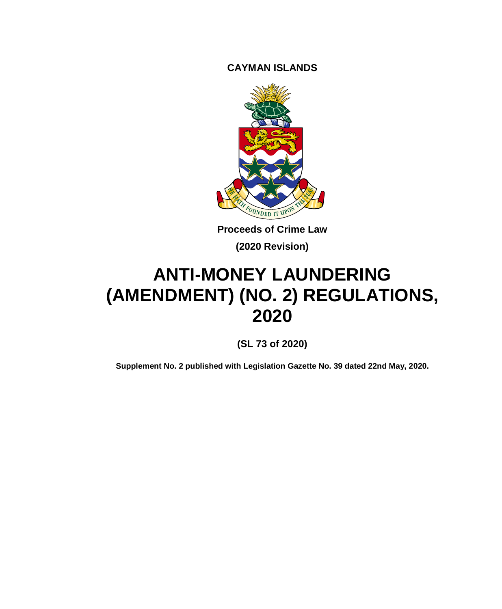**CAYMAN ISLANDS**



**Proceeds of Crime Law (2020 Revision)**

# **ANTI-MONEY LAUNDERING (AMENDMENT) (NO. 2) REGULATIONS, 2020**

**(SL 73 of 2020)**

**Supplement No. 2 published with Legislation Gazette No. 39 dated 22nd May, 2020.**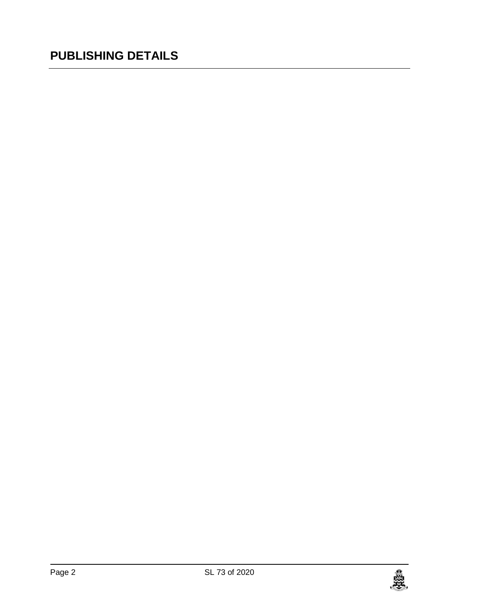## **PUBLISHING DETAILS**

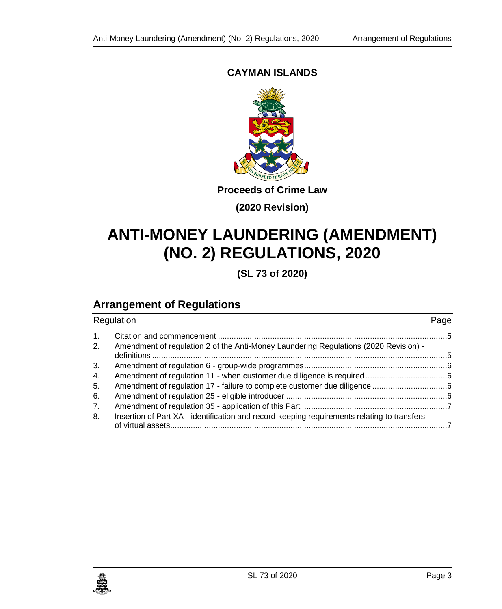## **CAYMAN ISLANDS**



**Proceeds of Crime Law**

**(2020 Revision)**

## **ANTI-MONEY LAUNDERING (AMENDMENT) (NO. 2) REGULATIONS, 2020**

**(SL 73 of 2020)**

## **Arrangement of Regulations**

| Regulation           |                                                                                             | Page |
|----------------------|---------------------------------------------------------------------------------------------|------|
| $\mathbf{1}$ .<br>2. | Amendment of regulation 2 of the Anti-Money Laundering Regulations (2020 Revision) -        |      |
|                      |                                                                                             |      |
| 3.                   |                                                                                             |      |
| 4.                   |                                                                                             |      |
| 5.                   |                                                                                             |      |
| 6.                   |                                                                                             |      |
| 7.                   |                                                                                             |      |
| 8.                   | Insertion of Part XA - identification and record-keeping requirements relating to transfers |      |

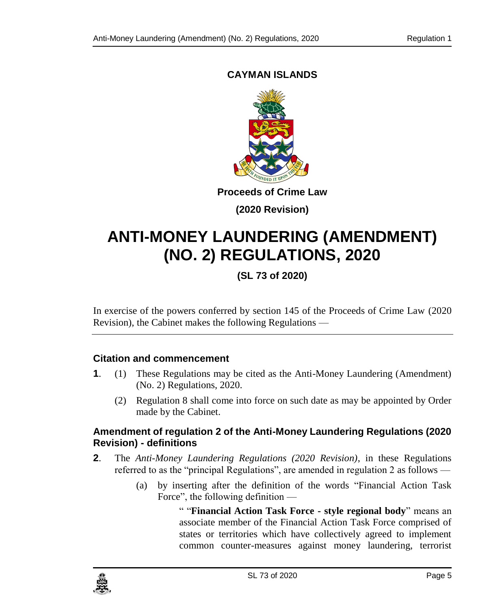## <span id="page-4-0"></span>**CAYMAN ISLANDS**



**Proceeds of Crime Law**

**(2020 Revision)**

## **ANTI-MONEY LAUNDERING (AMENDMENT) (NO. 2) REGULATIONS, 2020**

**(SL 73 of 2020)**

In exercise of the powers conferred by section 145 of the Proceeds of Crime Law (2020 Revision), the Cabinet makes the following Regulations —

## **1. Citation and commencement**

- **1**. (1) These Regulations may be cited as the Anti-Money Laundering (Amendment) (No. 2) Regulations, 2020.
	- (2) Regulation 8 shall come into force on such date as may be appointed by Order made by the Cabinet.

## <span id="page-4-1"></span>**2. Amendment of regulation 2 of the Anti-Money Laundering Regulations (2020 Revision) - definitions**

- **2**. The *Anti-Money Laundering Regulations (2020 Revision)*, in these Regulations referred to as the "principal Regulations", are amended in regulation 2 as follows —
	- (a) by inserting after the definition of the words "Financial Action Task Force", the following definition —

" "**Financial Action Task Force - style regional body**" means an associate member of the Financial Action Task Force comprised of states or territories which have collectively agreed to implement common counter-measures against money laundering, terrorist

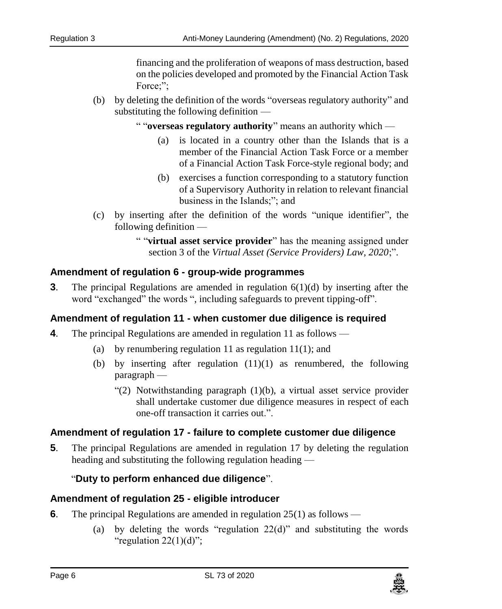financing and the proliferation of weapons of mass destruction, based on the policies developed and promoted by the Financial Action Task Force:":

(b) by deleting the definition of the words "overseas regulatory authority" and substituting the following definition —

" "**overseas regulatory authority**" means an authority which —

- (a) is located in a country other than the Islands that is a member of the Financial Action Task Force or a member of a Financial Action Task Force-style regional body; and
- (b) exercises a function corresponding to a statutory function of a Supervisory Authority in relation to relevant financial business in the Islands;"; and
- (c) by inserting after the definition of the words "unique identifier", the following definition —
	- " "**virtual asset service provider**" has the meaning assigned under section 3 of the *Virtual Asset (Service Providers) Law, 2020*;".

## <span id="page-5-0"></span>**3. Amendment of regulation 6 - group-wide programmes**

**3**. The principal Regulations are amended in regulation 6(1)(d) by inserting after the word "exchanged" the words ", including safeguards to prevent tipping-off".

## <span id="page-5-1"></span>**4. Amendment of regulation 11 - when customer due diligence is required**

- **4**. The principal Regulations are amended in regulation 11 as follows
	- (a) by renumbering regulation 11 as regulation 11(1); and
	- (b) by inserting after regulation  $(11)(1)$  as renumbered, the following paragraph —
		- "(2) Notwithstanding paragraph (1)(b), a virtual asset service provider shall undertake customer due diligence measures in respect of each one-off transaction it carries out.".

## <span id="page-5-2"></span>**5. Amendment of regulation 17 - failure to complete customer due diligence**

**5**. The principal Regulations are amended in regulation 17 by deleting the regulation heading and substituting the following regulation heading —

## "**Duty to perform enhanced due diligence**".

## <span id="page-5-3"></span>**6. Amendment of regulation 25 - eligible introducer**

- **6**. The principal Regulations are amended in regulation 25(1) as follows
	- (a) by deleting the words "regulation  $22(d)$ " and substituting the words "regulation  $22(1)(d)$ ";

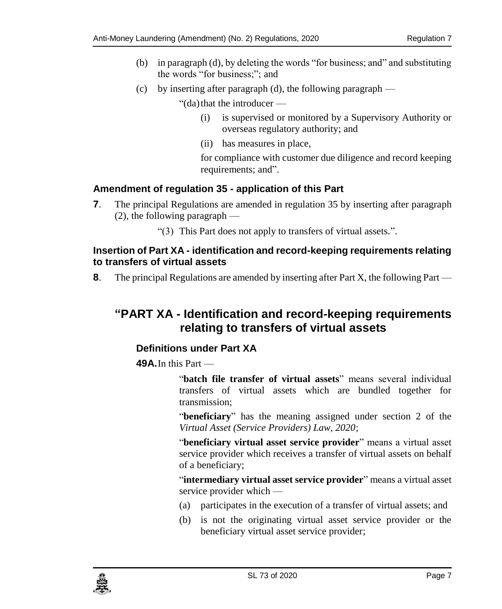- (b) in paragraph (d), by deleting the words "for business; and" and substituting the words "for business;"; and
- (c) by inserting after paragraph (d), the following paragraph —

"(da) that the introducer  $-$ 

- (i) is supervised or monitored by a Supervisory Authority or overseas regulatory authority; and
- (ii) has measures in place,

for compliance with customer due diligence and record keeping requirements; and".

## <span id="page-6-0"></span>**7. Amendment of regulation 35 - application of this Part**

**7**. The principal Regulations are amended in regulation 35 by inserting after paragraph (2), the following paragraph —

"(3) This Part does not apply to transfers of virtual assets.".

## <span id="page-6-1"></span>**8. Insertion of Part XA - identification and record-keeping requirements relating to transfers of virtual assets**

**8**. The principal Regulations are amended by inserting after Part X, the following Part —

## **"PART XA - Identification and record-keeping requirements relating to transfers of virtual assets**

## **Definitions under Part XA**

**49A.**In this Part —

"**batch file transfer of virtual assets**" means several individual transfers of virtual assets which are bundled together for transmission;

"**beneficiary**" has the meaning assigned under section 2 of the *Virtual Asset (Service Providers) Law, 2020*;

"**beneficiary virtual asset service provider**" means a virtual asset service provider which receives a transfer of virtual assets on behalf of a beneficiary;

"**intermediary virtual asset service provider**" means a virtual asset service provider which —

- (a) participates in the execution of a transfer of virtual assets; and
- (b) is not the originating virtual asset service provider or the beneficiary virtual asset service provider;

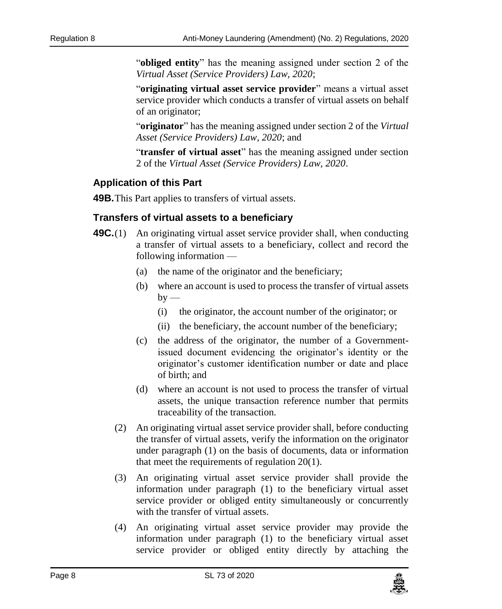"**obliged entity**" has the meaning assigned under section 2 of the *Virtual Asset (Service Providers) Law, 2020*;

"**originating virtual asset service provider**" means a virtual asset service provider which conducts a transfer of virtual assets on behalf of an originator;

"**originator**" has the meaning assigned under section 2 of the *Virtual Asset (Service Providers) Law, 2020*; and

"**transfer of virtual asset**" has the meaning assigned under section 2 of the *Virtual Asset (Service Providers) Law, 2020*.

## **Application of this Part**

**49B.**This Part applies to transfers of virtual assets.

## **Transfers of virtual assets to a beneficiary**

- **49C.**(1) An originating virtual asset service provider shall, when conducting a transfer of virtual assets to a beneficiary, collect and record the following information —
	- (a) the name of the originator and the beneficiary;
	- (b) where an account is used to process the transfer of virtual assets  $by$  —
		- (i) the originator, the account number of the originator; or
		- (ii) the beneficiary, the account number of the beneficiary;
	- (c) the address of the originator, the number of a Governmentissued document evidencing the originator's identity or the originator's customer identification number or date and place of birth; and
	- (d) where an account is not used to process the transfer of virtual assets, the unique transaction reference number that permits traceability of the transaction.
	- (2) An originating virtual asset service provider shall, before conducting the transfer of virtual assets, verify the information on the originator under paragraph (1) on the basis of documents, data or information that meet the requirements of regulation 20(1).
	- (3) An originating virtual asset service provider shall provide the information under paragraph (1) to the beneficiary virtual asset service provider or obliged entity simultaneously or concurrently with the transfer of virtual assets.
	- (4) An originating virtual asset service provider may provide the information under paragraph (1) to the beneficiary virtual asset service provider or obliged entity directly by attaching the

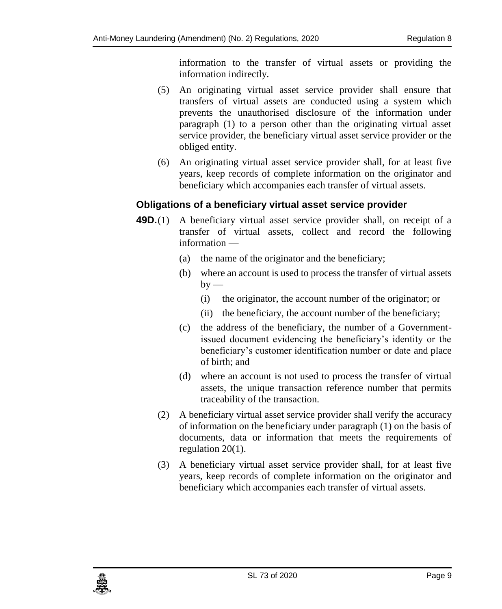information to the transfer of virtual assets or providing the information indirectly.

- (5) An originating virtual asset service provider shall ensure that transfers of virtual assets are conducted using a system which prevents the unauthorised disclosure of the information under paragraph (1) to a person other than the originating virtual asset service provider, the beneficiary virtual asset service provider or the obliged entity.
- (6) An originating virtual asset service provider shall, for at least five years, keep records of complete information on the originator and beneficiary which accompanies each transfer of virtual assets.

#### **Obligations of a beneficiary virtual asset service provider**

- **49D.**(1) A beneficiary virtual asset service provider shall, on receipt of a transfer of virtual assets, collect and record the following information —
	- (a) the name of the originator and the beneficiary;
	- (b) where an account is used to process the transfer of virtual assets  $by -$ 
		- (i) the originator, the account number of the originator; or
		- (ii) the beneficiary, the account number of the beneficiary;
	- (c) the address of the beneficiary, the number of a Governmentissued document evidencing the beneficiary's identity or the beneficiary's customer identification number or date and place of birth; and
	- (d) where an account is not used to process the transfer of virtual assets, the unique transaction reference number that permits traceability of the transaction.
	- (2) A beneficiary virtual asset service provider shall verify the accuracy of information on the beneficiary under paragraph (1) on the basis of documents, data or information that meets the requirements of regulation 20(1).
	- (3) A beneficiary virtual asset service provider shall, for at least five years, keep records of complete information on the originator and beneficiary which accompanies each transfer of virtual assets.

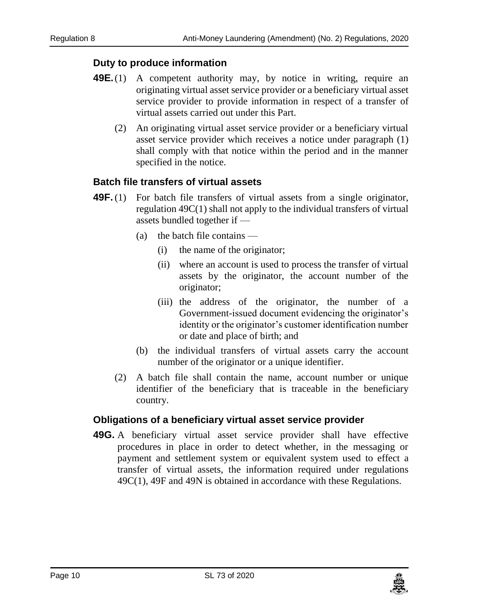## **Duty to produce information**

- **49E.**(1) A competent authority may, by notice in writing, require an originating virtual asset service provider or a beneficiary virtual asset service provider to provide information in respect of a transfer of virtual assets carried out under this Part.
	- (2) An originating virtual asset service provider or a beneficiary virtual asset service provider which receives a notice under paragraph (1) shall comply with that notice within the period and in the manner specified in the notice.

## **Batch file transfers of virtual assets**

- **49F.** (1) For batch file transfers of virtual assets from a single originator, regulation 49C(1) shall not apply to the individual transfers of virtual assets bundled together if —
	- (a) the batch file contains
		- (i) the name of the originator;
		- (ii) where an account is used to process the transfer of virtual assets by the originator, the account number of the originator;
		- (iii) the address of the originator, the number of a Government-issued document evidencing the originator's identity or the originator's customer identification number or date and place of birth; and
	- (b) the individual transfers of virtual assets carry the account number of the originator or a unique identifier.
	- (2) A batch file shall contain the name, account number or unique identifier of the beneficiary that is traceable in the beneficiary country.

#### **Obligations of a beneficiary virtual asset service provider**

**49G.** A beneficiary virtual asset service provider shall have effective procedures in place in order to detect whether, in the messaging or payment and settlement system or equivalent system used to effect a transfer of virtual assets, the information required under regulations 49C(1), 49F and 49N is obtained in accordance with these Regulations.

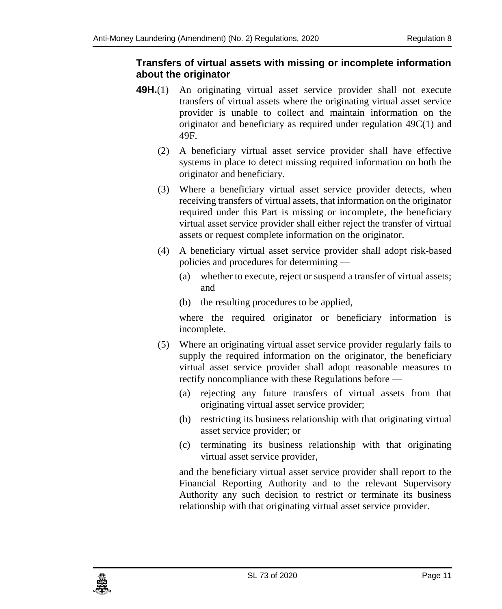## **Transfers of virtual assets with missing or incomplete information about the originator**

- **49H.**(1) An originating virtual asset service provider shall not execute transfers of virtual assets where the originating virtual asset service provider is unable to collect and maintain information on the originator and beneficiary as required under regulation 49C(1) and 49F.
	- (2) A beneficiary virtual asset service provider shall have effective systems in place to detect missing required information on both the originator and beneficiary.
	- (3) Where a beneficiary virtual asset service provider detects, when receiving transfers of virtual assets, that information on the originator required under this Part is missing or incomplete, the beneficiary virtual asset service provider shall either reject the transfer of virtual assets or request complete information on the originator.
	- (4) A beneficiary virtual asset service provider shall adopt risk-based policies and procedures for determining —
		- (a) whether to execute, reject or suspend a transfer of virtual assets; and
		- (b) the resulting procedures to be applied,

where the required originator or beneficiary information is incomplete.

- (5) Where an originating virtual asset service provider regularly fails to supply the required information on the originator, the beneficiary virtual asset service provider shall adopt reasonable measures to rectify noncompliance with these Regulations before —
	- (a) rejecting any future transfers of virtual assets from that originating virtual asset service provider;
	- (b) restricting its business relationship with that originating virtual asset service provider; or
	- (c) terminating its business relationship with that originating virtual asset service provider,

and the beneficiary virtual asset service provider shall report to the Financial Reporting Authority and to the relevant Supervisory Authority any such decision to restrict or terminate its business relationship with that originating virtual asset service provider.

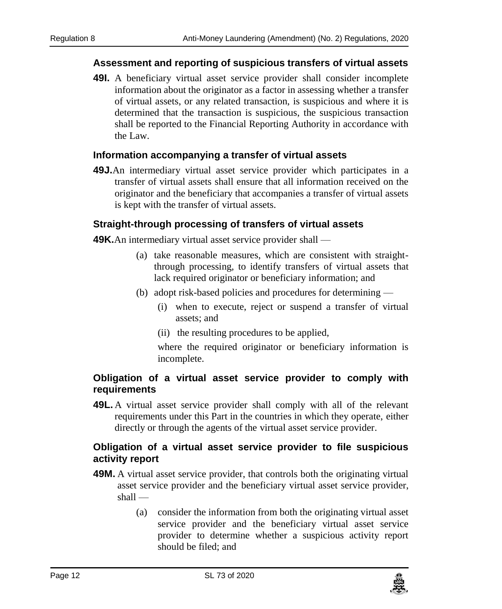#### **Assessment and reporting of suspicious transfers of virtual assets**

**49I.** A beneficiary virtual asset service provider shall consider incomplete information about the originator as a factor in assessing whether a transfer of virtual assets, or any related transaction, is suspicious and where it is determined that the transaction is suspicious, the suspicious transaction shall be reported to the Financial Reporting Authority in accordance with the Law.

#### **Information accompanying a transfer of virtual assets**

**49J.**An intermediary virtual asset service provider which participates in a transfer of virtual assets shall ensure that all information received on the originator and the beneficiary that accompanies a transfer of virtual assets is kept with the transfer of virtual assets.

## **Straight-through processing of transfers of virtual assets**

**49K.**An intermediary virtual asset service provider shall —

- (a) take reasonable measures, which are consistent with straightthrough processing, to identify transfers of virtual assets that lack required originator or beneficiary information; and
- (b) adopt risk-based policies and procedures for determining
	- (i) when to execute, reject or suspend a transfer of virtual assets; and
	- (ii) the resulting procedures to be applied,

where the required originator or beneficiary information is incomplete.

#### **Obligation of a virtual asset service provider to comply with requirements**

**49L.** A virtual asset service provider shall comply with all of the relevant requirements under this Part in the countries in which they operate, either directly or through the agents of the virtual asset service provider.

## **Obligation of a virtual asset service provider to file suspicious activity report**

- **49M.** A virtual asset service provider, that controls both the originating virtual asset service provider and the beneficiary virtual asset service provider, shall —
	- (a) consider the information from both the originating virtual asset service provider and the beneficiary virtual asset service provider to determine whether a suspicious activity report should be filed; and